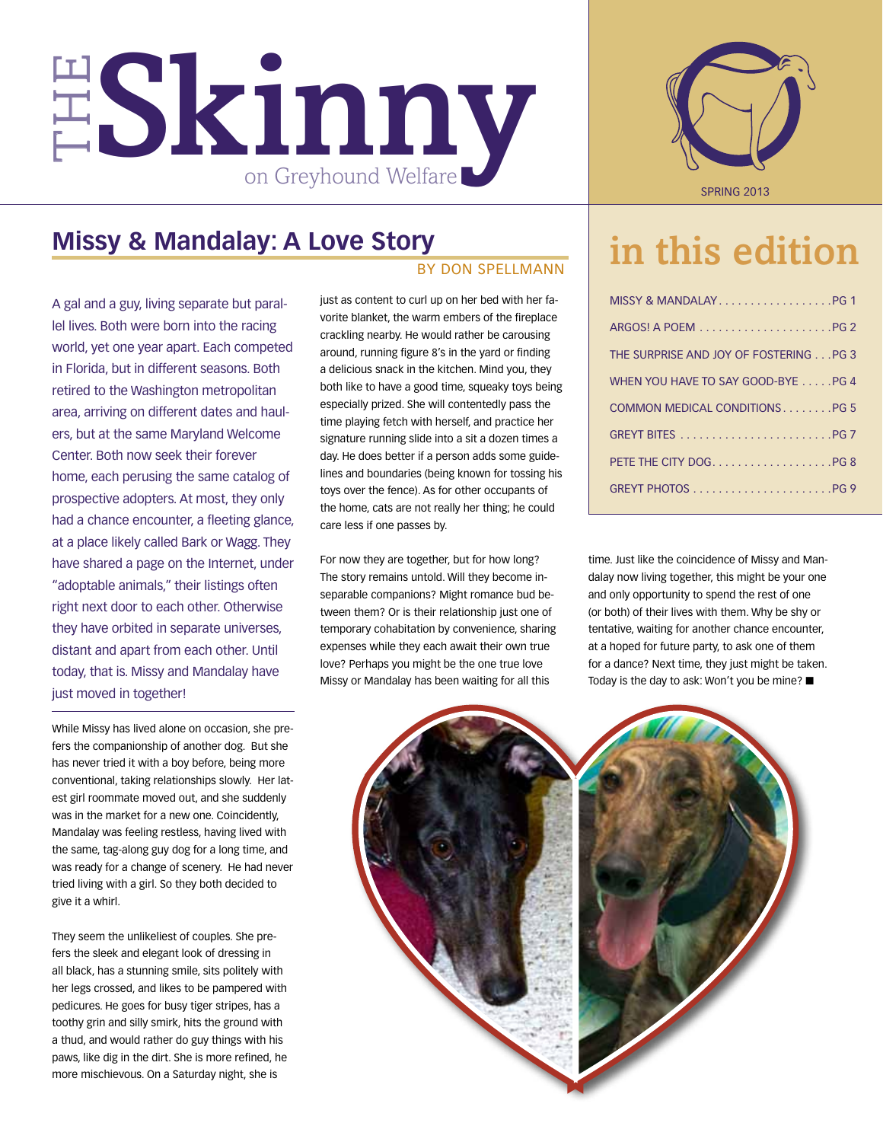

### **Missy & Mandalay: A Love Story**

A gal and a guy, living separate but parallel lives. Both were born into the racing world, yet one year apart. Each competed in Florida, but in different seasons. Both retired to the Washington metropolitan area, arriving on different dates and haulers, but at the same Maryland Welcome Center. Both now seek their forever home, each perusing the same catalog of prospective adopters. At most, they only had a chance encounter, a fleeting glance, at a place likely called Bark or Wagg. They have shared a page on the Internet, under "adoptable animals," their listings often right next door to each other. Otherwise they have orbited in separate universes, distant and apart from each other. Until today, that is. Missy and Mandalay have just moved in together!

While Missy has lived alone on occasion, she prefers the companionship of another dog. But she has never tried it with a boy before, being more conventional, taking relationships slowly. Her latest girl roommate moved out, and she suddenly was in the market for a new one. Coincidently, Mandalay was feeling restless, having lived with the same, tag-along guy dog for a long time, and was ready for a change of scenery. He had never tried living with a girl. So they both decided to give it a whirl.

They seem the unlikeliest of couples. She prefers the sleek and elegant look of dressing in all black, has a stunning smile, sits politely with her legs crossed, and likes to be pampered with pedicures. He goes for busy tiger stripes, has a toothy grin and silly smirk, hits the ground with a thud, and would rather do guy things with his paws, like dig in the dirt. She is more refined, he more mischievous. On a Saturday night, she is

### By Don Spellmann

just as content to curl up on her bed with her favorite blanket, the warm embers of the fireplace crackling nearby. He would rather be carousing around, running figure 8's in the yard or finding a delicious snack in the kitchen. Mind you, they both like to have a good time, squeaky toys being especially prized. She will contentedly pass the time playing fetch with herself, and practice her signature running slide into a sit a dozen times a day. He does better if a person adds some guidelines and boundaries (being known for tossing his toys over the fence). As for other occupants of the home, cats are not really her thing; he could care less if one passes by.

For now they are together, but for how long? The story remains untold. Will they become inseparable companions? Might romance bud between them? Or is their relationship just one of temporary cohabitation by convenience, sharing expenses while they each await their own true love? Perhaps you might be the one true love Missy or Mandalay has been waiting for all this



## in this edition

| MISSY & MANDALAYPG 1                   |
|----------------------------------------|
|                                        |
| THE SURPRISE AND JOY OF FOSTERING PG 3 |
| WHEN YOU HAVE TO SAY GOOD-BYE PG 4     |
| COMMON MEDICAL CONDITIONSPG 5          |
|                                        |
| PETE THE CITY DOGPG 8                  |
|                                        |

time. Just like the coincidence of Missy and Mandalay now living together, this might be your one and only opportunity to spend the rest of one (or both) of their lives with them. Why be shy or tentative, waiting for another chance encounter, at a hoped for future party, to ask one of them for a dance? Next time, they just might be taken. Today is the day to ask: Won't you be mine?  $\blacksquare$ 

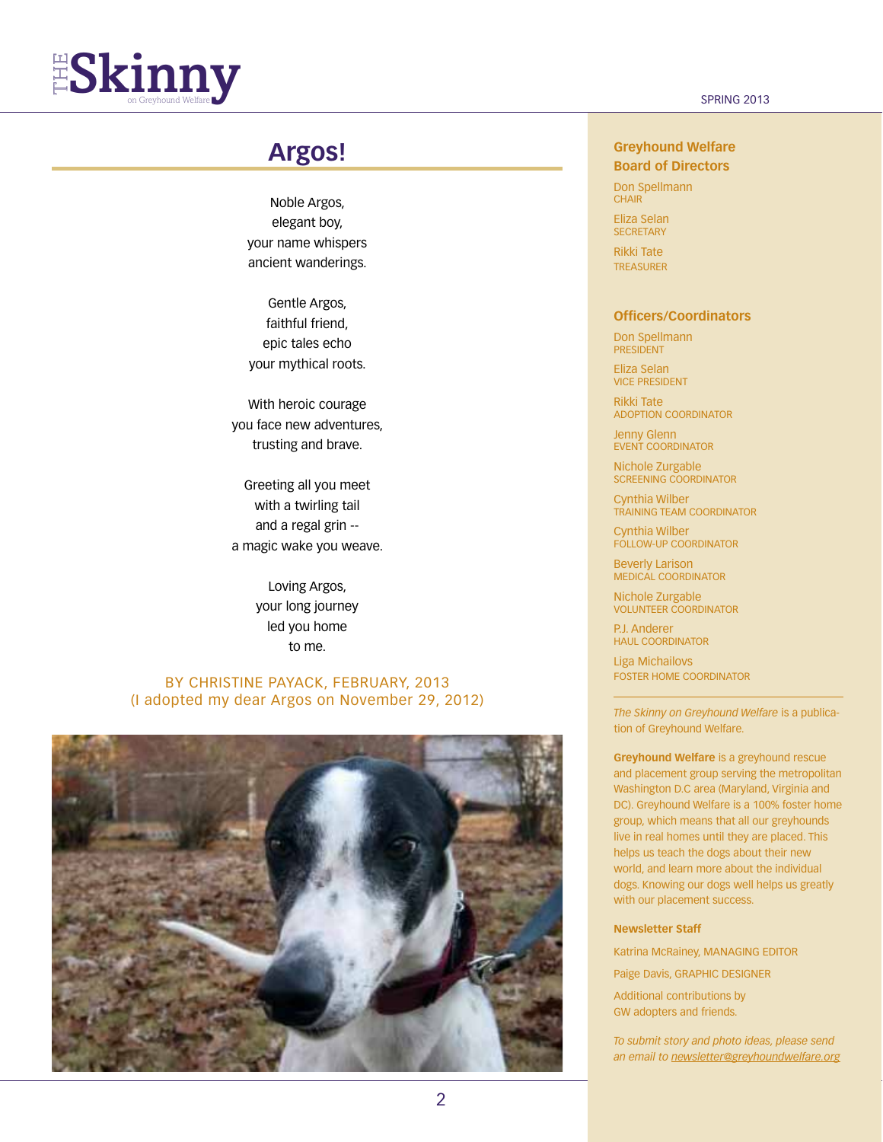

### **Argos!**

Noble Argos, elegant boy, your name whispers ancient wanderings.

Gentle Argos, faithful friend, epic tales echo your mythical roots.

With heroic courage you face new adventures, trusting and brave.

Greeting all you meet with a twirling tail and a regal grin - a magic wake you weave.

> Loving Argos, your long journey led you home to me.

### By Christine Payack, February, 2013 (I adopted my dear Argos on November 29, 2012)



### **Greyhound Welfare Board of Directors**

Don Spellmann **CHAIR** 

Eliza Selan **SECRETARY** 

Rikki Tate **TREASURER** 

### **Officers/Coordinators**

Don Spellmann **PRESIDENT** 

Eliza Selan vice president

Rikki Tate Adoption Coordinator

Jenny Glenn Event Coordinator

Nichole Zurgable Screening Coordinator

Cynthia Wilber Training Team Coordinator

Cynthia Wilber Follow-up Coordinator

Beverly Larison Medical Coordinator

Nichole Zurgable Volunteer Coordinator

P.J. Anderer haul Coordinator

Liga Michailovs foster home Coordinator

*The Skinny on Greyhound Welfare* is a publication of Greyhound Welfare.

**Greyhound Welfare** is a greyhound rescue and placement group serving the metropolitan Washington D.C area (Maryland, Virginia and DC). Greyhound Welfare is a 100% foster home group, which means that all our greyhounds live in real homes until they are placed. This helps us teach the dogs about their new world, and learn more about the individual dogs. Knowing our dogs well helps us greatly with our placement success.

#### **Newsletter Staff**

Katrina McRainey, MANAGING EDITOR

Paige Davis, GRAPHIC DESIGNER

Additional contributions by GW adopters and friends.

*To submit story and photo ideas, please send an email to newsletter@greyhoundwelfare.org*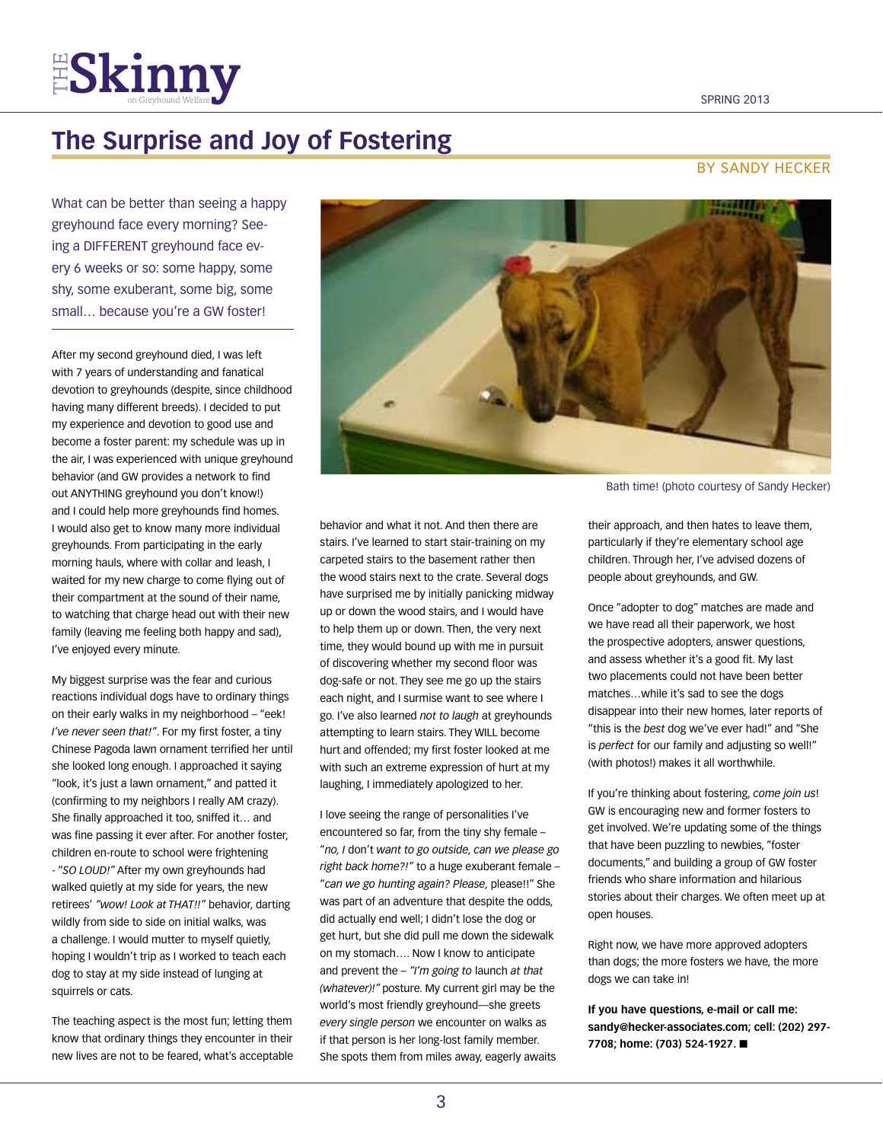## $FS$  $$

## **The Surprise and Joy of Fostering**

### By sandY hecker

What can be better than seeing a happy greyhound face every morning? Seeing a DIFFERENT greyhound face every 6 weeks or so: some happy, some shy, some exuberant, some big, some small... because you're a GW foster!

After my second greyhound died, I was left with 7 years of understanding and fanatical devotion to greyhounds (despite, since childhood having many different breeds). I decided to put my experience and devotion to good use and become a foster parent: my schedule was up in the air, I was experienced with unique greyhound behavior (and GW provides a network to find out ANYTHING greyhound you don't know!) and I could help more greyhounds find homes. I would also get to know many more individual greyhounds. From participating in the early morning hauls, where with collar and leash, I waited for my new charge to come flying out of their compartment at the sound of their name, to watching that charge head out with their new family (leaving me feeling both happy and sad), I've enjoyed every minute.

My biggest surprise was the fear and curious reactions individual dogs have to ordinary things on their early walks in my neighborhood – "eek! *I've never seen that!"*. For my first foster, a tiny Chinese Pagoda lawn ornament terrified her until she looked long enough. I approached it saying "look, it's just a lawn ornament," and patted it (confirming to my neighbors I really AM crazy). She finally approached it too, sniffed it… and was fine passing it ever after. For another foster, children en-route to school were frightening - "*SO LOUD!"* After my own greyhounds had walked quietly at my side for years, the new retirees' *"wow! Look at THAT!!"* behavior, darting wildly from side to side on initial walks, was a challenge. I would mutter to myself quietly, hoping I wouldn't trip as I worked to teach each dog to stay at my side instead of lunging at squirrels or cats.

The teaching aspect is the most fun; letting them know that ordinary things they encounter in their new lives are not to be feared, what's acceptable



behavior and what it not. And then there are stairs. I've learned to start stair-training on my carpeted stairs to the basement rather then the wood stairs next to the crate. Several dogs have surprised me by initially panicking midway up or down the wood stairs, and I would have to help them up or down. Then, the very next time, they would bound up with me in pursuit of discovering whether my second floor was dog-safe or not. They see me go up the stairs each night, and I surmise want to see where I go. I've also learned *not to laugh* at greyhounds attempting to learn stairs. They WILL become hurt and offended; my first foster looked at me with such an extreme expression of hurt at my laughing, I immediately apologized to her.

I love seeing the range of personalities I've encountered so far, from the tiny shy female – "*no, I* don't *want to go outside, can we please go right back home?!"* to a huge exuberant female – "*can we go hunting again? Please,* please!!" She was part of an adventure that despite the odds, did actually end well; I didn't lose the dog or get hurt, but she did pull me down the sidewalk on my stomach…. Now I know to anticipate and prevent the – *"I'm going to* launch *at that (whatever)!"* posture. My current girl may be the world's most friendly greyhound—she greets *every single person* we encounter on walks as if that person is her long-lost family member. She spots them from miles away, eagerly awaits

Bath time! (photo courtesy of Sandy Hecker)

their approach, and then hates to leave them, particularly if they're elementary school age children. Through her, I've advised dozens of people about greyhounds, and GW.

Once "adopter to dog" matches are made and we have read all their paperwork, we host the prospective adopters, answer questions, and assess whether it's a good fit. My last two placements could not have been better matches…while it's sad to see the dogs disappear into their new homes, later reports of "this is the *best* dog we've ever had!" and "She is *perfect* for our family and adjusting so well!" (with photos!) makes it all worthwhile.

If you're thinking about fostering, *come join us*! GW is encouraging new and former fosters to get involved. We're updating some of the things that have been puzzling to newbies, "foster documents," and building a group of GW foster friends who share information and hilarious stories about their charges. We often meet up at open houses.

Right now, we have more approved adopters than dogs; the more fosters we have, the more dogs we can take in!

**If you have questions, e-mail or call me: sandy@hecker-associates.com; cell: (202) 297-** 7708; home: (703) 524-1927. ■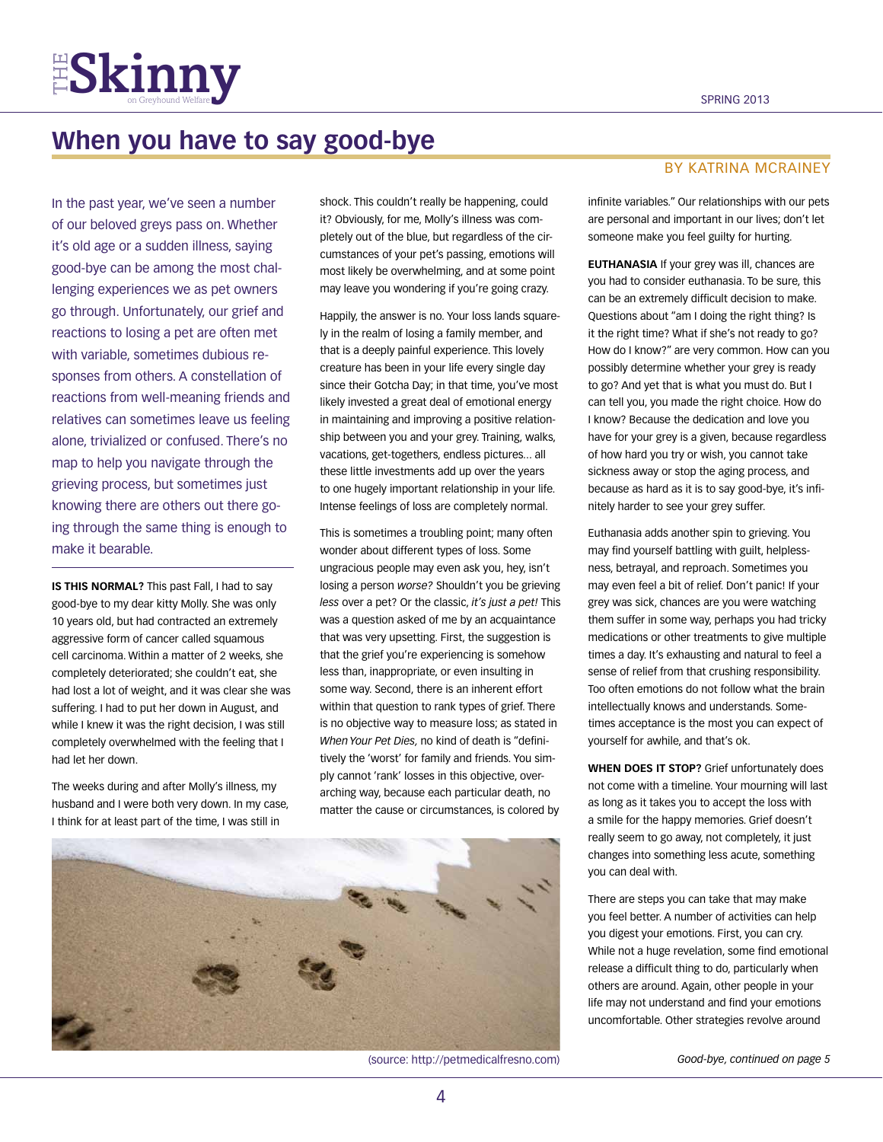

## **When you have to say good-bye**

In the past year, we've seen a number of our beloved greys pass on. Whether it's old age or a sudden illness, saying good-bye can be among the most challenging experiences we as pet owners go through. Unfortunately, our grief and reactions to losing a pet are often met with variable, sometimes dubious responses from others. A constellation of reactions from well-meaning friends and relatives can sometimes leave us feeling alone, trivialized or confused. There's no map to help you navigate through the grieving process, but sometimes just knowing there are others out there going through the same thing is enough to make it bearable.

**IS THIS NORMAL?** This past Fall, I had to say good-bye to my dear kitty Molly. She was only 10 years old, but had contracted an extremely aggressive form of cancer called squamous cell carcinoma. Within a matter of 2 weeks, she completely deteriorated; she couldn't eat, she had lost a lot of weight, and it was clear she was suffering. I had to put her down in August, and while I knew it was the right decision, I was still completely overwhelmed with the feeling that I had let her down.

The weeks during and after Molly's illness, my husband and I were both very down. In my case, I think for at least part of the time, I was still in

shock. This couldn't really be happening, could it? Obviously, for me, Molly's illness was completely out of the blue, but regardless of the circumstances of your pet's passing, emotions will most likely be overwhelming, and at some point may leave you wondering if you're going crazy.

Happily, the answer is no. Your loss lands squarely in the realm of losing a family member, and that is a deeply painful experience. This lovely creature has been in your life every single day since their Gotcha Day; in that time, you've most likely invested a great deal of emotional energy in maintaining and improving a positive relationship between you and your grey. Training, walks, vacations, get-togethers, endless pictures... all these little investments add up over the years to one hugely important relationship in your life. Intense feelings of loss are completely normal.

This is sometimes a troubling point; many often wonder about different types of loss. Some ungracious people may even ask you, hey, isn't losing a person *worse?* Shouldn't you be grieving *less* over a pet? Or the classic, *it's just a pet!* This was a question asked of me by an acquaintance that was very upsetting. First, the suggestion is that the grief you're experiencing is somehow less than, inappropriate, or even insulting in some way. Second, there is an inherent effort within that question to rank types of grief. There is no objective way to measure loss; as stated in *When Your Pet Dies,* no kind of death is "definitively the 'worst' for family and friends. You simply cannot 'rank' losses in this objective, overarching way, because each particular death, no matter the cause or circumstances, is colored by



(source: http://petmedicalfresno.com) *Good-bye, continued on page 5*

### By katrina mcrainey

infinite variables." Our relationships with our pets are personal and important in our lives; don't let someone make you feel guilty for hurting.

**EUTHANASIA** If your grey was ill, chances are you had to consider euthanasia. To be sure, this can be an extremely difficult decision to make. Questions about "am I doing the right thing? Is it the right time? What if she's not ready to go? How do I know?" are very common. How can you possibly determine whether your grey is ready to go? And yet that is what you must do. But I can tell you, you made the right choice. How do I know? Because the dedication and love you have for your grey is a given, because regardless of how hard you try or wish, you cannot take sickness away or stop the aging process, and because as hard as it is to say good-bye, it's infinitely harder to see your grey suffer.

Euthanasia adds another spin to grieving. You may find yourself battling with guilt, helplessness, betrayal, and reproach. Sometimes you may even feel a bit of relief. Don't panic! If your grey was sick, chances are you were watching them suffer in some way, perhaps you had tricky medications or other treatments to give multiple times a day. It's exhausting and natural to feel a sense of relief from that crushing responsibility. Too often emotions do not follow what the brain intellectually knows and understands. Sometimes acceptance is the most you can expect of yourself for awhile, and that's ok.

**WHEN DOES IT STOP?** Grief unfortunately does not come with a timeline. Your mourning will last as long as it takes you to accept the loss with a smile for the happy memories. Grief doesn't really seem to go away, not completely, it just changes into something less acute, something you can deal with.

There are steps you can take that may make you feel better. A number of activities can help you digest your emotions. First, you can cry. While not a huge revelation, some find emotional release a difficult thing to do, particularly when others are around. Again, other people in your life may not understand and find your emotions uncomfortable. Other strategies revolve around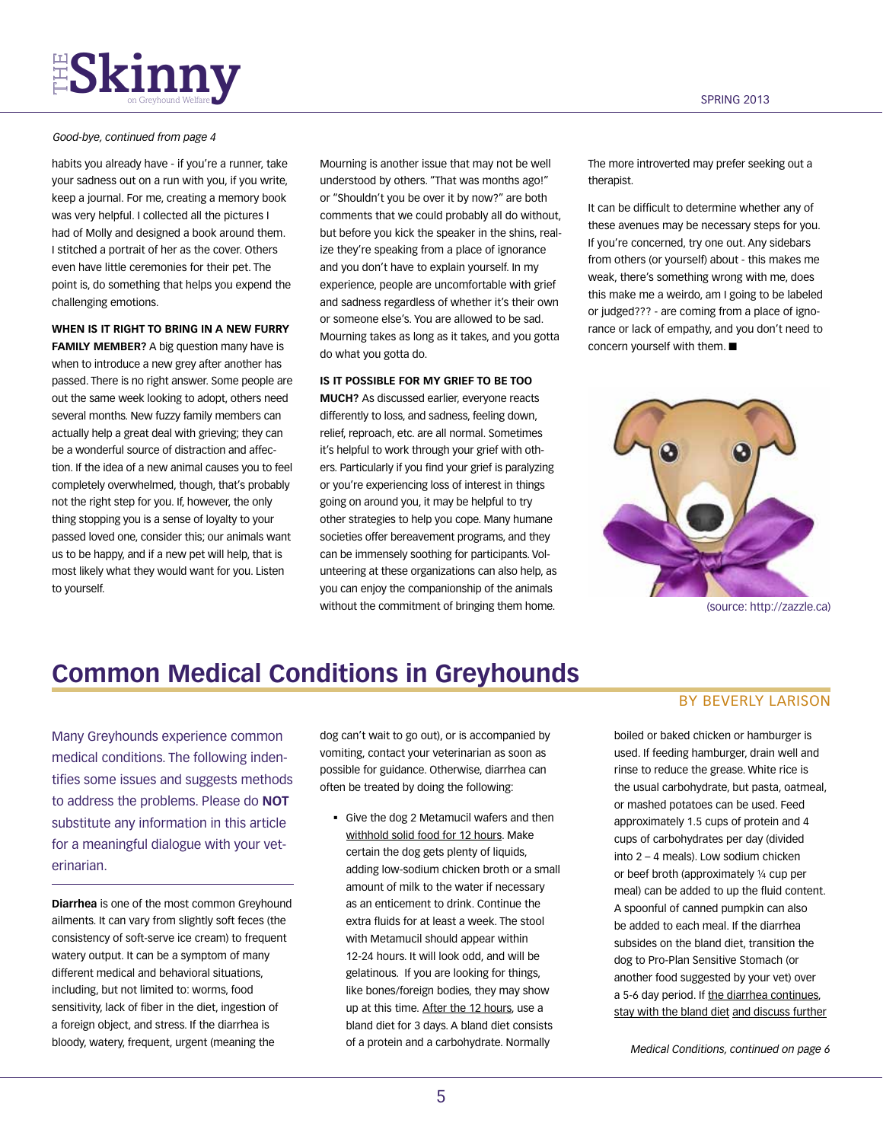## **FSKINNY** SERING 2013

#### *Good-bye, continued from page 4*

habits you already have - if you're a runner, take your sadness out on a run with you, if you write, keep a journal. For me, creating a memory book was very helpful. I collected all the pictures I had of Molly and designed a book around them. I stitched a portrait of her as the cover. Others even have little ceremonies for their pet. The point is, do something that helps you expend the challenging emotions.

#### **WHEN IS IT RIGHT TO BRING IN A NEW FURRY**

**FAMILY MEMBER?** A big question many have is when to introduce a new grey after another has passed. There is no right answer. Some people are out the same week looking to adopt, others need several months. New fuzzy family members can actually help a great deal with grieving; they can be a wonderful source of distraction and affection. If the idea of a new animal causes you to feel completely overwhelmed, though, that's probably not the right step for you. If, however, the only thing stopping you is a sense of loyalty to your passed loved one, consider this; our animals want us to be happy, and if a new pet will help, that is most likely what they would want for you. Listen to yourself.

Mourning is another issue that may not be well understood by others. "That was months ago!" or "Shouldn't you be over it by now?" are both comments that we could probably all do without, but before you kick the speaker in the shins, realize they're speaking from a place of ignorance and you don't have to explain yourself. In my experience, people are uncomfortable with grief and sadness regardless of whether it's their own or someone else's. You are allowed to be sad. Mourning takes as long as it takes, and you gotta do what you gotta do.

### **IS IT POSSIBLE FOR MY GRIEF TO BE TOO**

**MUCH?** As discussed earlier, everyone reacts differently to loss, and sadness, feeling down, relief, reproach, etc. are all normal. Sometimes it's helpful to work through your grief with others. Particularly if you find your grief is paralyzing or you're experiencing loss of interest in things going on around you, it may be helpful to try other strategies to help you cope. Many humane societies offer bereavement programs, and they can be immensely soothing for participants. Volunteering at these organizations can also help, as you can enjoy the companionship of the animals without the commitment of bringing them home.

The more introverted may prefer seeking out a therapist.

It can be difficult to determine whether any of these avenues may be necessary steps for you. If you're concerned, try one out. Any sidebars from others (or yourself) about - this makes me weak, there's something wrong with me, does this make me a weirdo, am I going to be labeled or judged??? - are coming from a place of ignorance or lack of empathy, and you don't need to concern yourself with them.  $\blacksquare$ 



(source: http://zazzle.ca)

## **Common Medical Conditions in Greyhounds**

Many Greyhounds experience common medical conditions. The following indentifies some issues and suggests methods to address the problems. Please do **NOT** substitute any information in this article for a meaningful dialogue with your veterinarian.

**Diarrhea** is one of the most common Greyhound ailments. It can vary from slightly soft feces (the consistency of soft-serve ice cream) to frequent watery output. It can be a symptom of many different medical and behavioral situations, including, but not limited to: worms, food sensitivity, lack of fiber in the diet, ingestion of a foreign object, and stress. If the diarrhea is bloody, watery, frequent, urgent (meaning the

dog can't wait to go out), or is accompanied by vomiting, contact your veterinarian as soon as possible for guidance. Otherwise, diarrhea can often be treated by doing the following:

 Give the dog 2 Metamucil wafers and then withhold solid food for 12 hours. Make certain the dog gets plenty of liquids, adding low-sodium chicken broth or a small amount of milk to the water if necessary as an enticement to drink. Continue the extra fluids for at least a week. The stool with Metamucil should appear within 12-24 hours. It will look odd, and will be gelatinous. If you are looking for things, like bones/foreign bodies, they may show up at this time. After the 12 hours, use a bland diet for 3 days. A bland diet consists of a protein and a carbohydrate. Normally

### By beverly larison

boiled or baked chicken or hamburger is used. If feeding hamburger, drain well and rinse to reduce the grease. White rice is the usual carbohydrate, but pasta, oatmeal, or mashed potatoes can be used. Feed approximately 1.5 cups of protein and 4 cups of carbohydrates per day (divided into 2 – 4 meals). Low sodium chicken or beef broth (approximately ¼ cup per meal) can be added to up the fluid content. A spoonful of canned pumpkin can also be added to each meal. If the diarrhea subsides on the bland diet, transition the dog to Pro-Plan Sensitive Stomach (or another food suggested by your vet) over a 5-6 day period. If the diarrhea continues, stay with the bland diet and discuss further

*Medical Conditions, continued on page 6*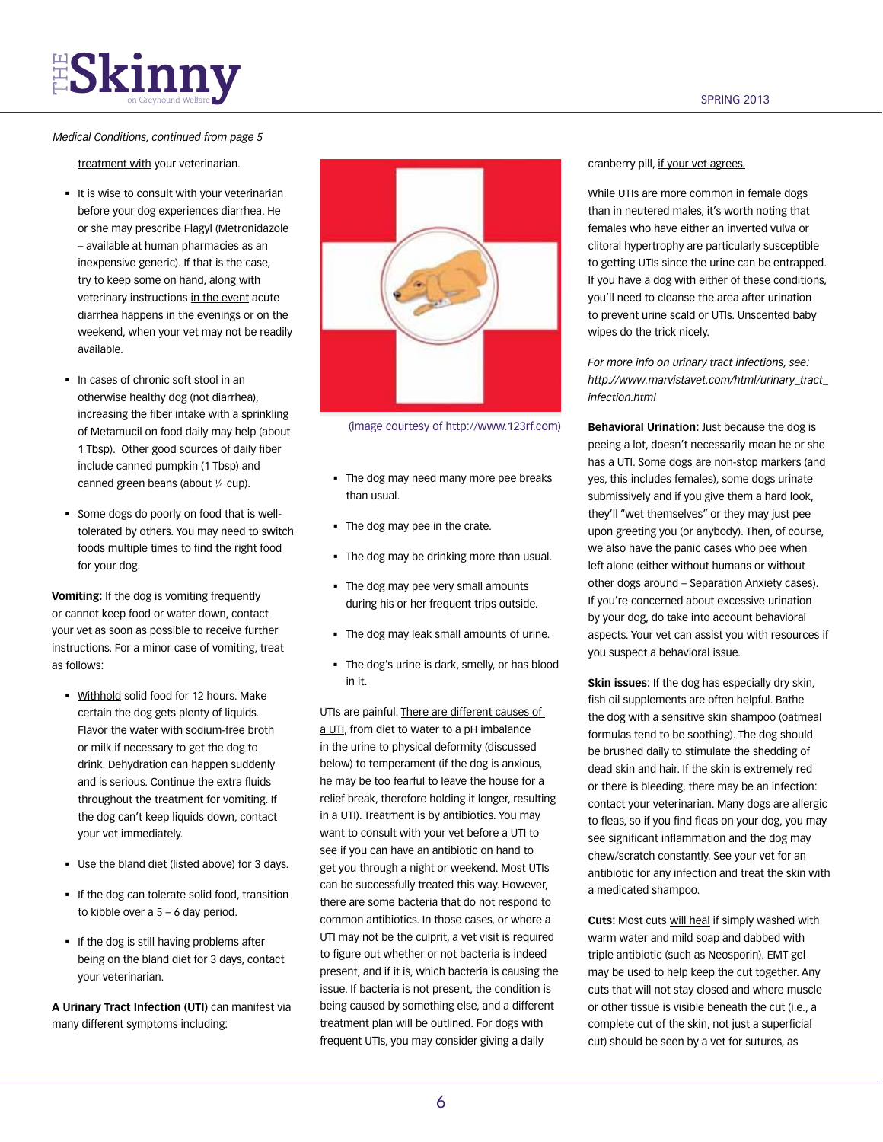## **THE SKINNY**

### *Medical Conditions, continued from page 5*

treatment with your veterinarian.

- It is wise to consult with your veterinarian before your dog experiences diarrhea. He or she may prescribe Flagyl (Metronidazole – available at human pharmacies as an inexpensive generic). If that is the case, try to keep some on hand, along with veterinary instructions in the event acute diarrhea happens in the evenings or on the weekend, when your vet may not be readily available.
- In cases of chronic soft stool in an otherwise healthy dog (not diarrhea), increasing the fiber intake with a sprinkling of Metamucil on food daily may help (about 1 Tbsp). Other good sources of daily fiber include canned pumpkin (1 Tbsp) and canned green beans (about ¼ cup).
- Some dogs do poorly on food that is welltolerated by others. You may need to switch foods multiple times to find the right food for your dog.

**Vomiting:** If the dog is vomiting frequently or cannot keep food or water down, contact your vet as soon as possible to receive further instructions. For a minor case of vomiting, treat as follows:

- Withhold solid food for 12 hours. Make certain the dog gets plenty of liquids. Flavor the water with sodium-free broth or milk if necessary to get the dog to drink. Dehydration can happen suddenly and is serious. Continue the extra fluids throughout the treatment for vomiting. If the dog can't keep liquids down, contact your vet immediately.
- Use the bland diet (listed above) for 3 days.
- If the dog can tolerate solid food, transition to kibble over a 5 – 6 day period.
- If the dog is still having problems after being on the bland diet for 3 days, contact your veterinarian.

**A Urinary Tract Infection (UTI)** can manifest via many different symptoms including:



(image courtesy of http://www.123rf.com)

- The dog may need many more pee breaks than usual.
- The dog may pee in the crate.
- The dog may be drinking more than usual.
- The dog may pee very small amounts during his or her frequent trips outside.
- The dog may leak small amounts of urine.
- The dog's urine is dark, smelly, or has blood in it.

UTIs are painful. There are different causes of a UTI, from diet to water to a pH imbalance in the urine to physical deformity (discussed below) to temperament (if the dog is anxious, he may be too fearful to leave the house for a relief break, therefore holding it longer, resulting in a UTI). Treatment is by antibiotics. You may want to consult with your vet before a UTI to see if you can have an antibiotic on hand to get you through a night or weekend. Most UTIs can be successfully treated this way. However, there are some bacteria that do not respond to common antibiotics. In those cases, or where a UTI may not be the culprit, a vet visit is required to figure out whether or not bacteria is indeed present, and if it is, which bacteria is causing the issue. If bacteria is not present, the condition is being caused by something else, and a different treatment plan will be outlined. For dogs with frequent UTIs, you may consider giving a daily

### cranberry pill, if your vet agrees.

While UTIs are more common in female dogs than in neutered males, it's worth noting that females who have either an inverted vulva or clitoral hypertrophy are particularly susceptible to getting UTIs since the urine can be entrapped. If you have a dog with either of these conditions, you'll need to cleanse the area after urination to prevent urine scald or UTIs. Unscented baby wipes do the trick nicely.

*For more info on urinary tract infections, see: http://www.marvistavet.com/html/urinary\_tract\_ infection.html*

**Behavioral Urination:** Just because the dog is peeing a lot, doesn't necessarily mean he or she has a UTI. Some dogs are non-stop markers (and yes, this includes females), some dogs urinate submissively and if you give them a hard look, they'll "wet themselves" or they may just pee upon greeting you (or anybody). Then, of course, we also have the panic cases who pee when left alone (either without humans or without other dogs around – Separation Anxiety cases). If you're concerned about excessive urination by your dog, do take into account behavioral aspects. Your vet can assist you with resources if you suspect a behavioral issue.

**Skin issues:** If the dog has especially dry skin, fish oil supplements are often helpful. Bathe the dog with a sensitive skin shampoo (oatmeal formulas tend to be soothing). The dog should be brushed daily to stimulate the shedding of dead skin and hair. If the skin is extremely red or there is bleeding, there may be an infection: contact your veterinarian. Many dogs are allergic to fleas, so if you find fleas on your dog, you may see significant inflammation and the dog may chew/scratch constantly. See your vet for an antibiotic for any infection and treat the skin with a medicated shampoo.

**Cuts:** Most cuts will heal if simply washed with warm water and mild soap and dabbed with triple antibiotic (such as Neosporin). EMT gel may be used to help keep the cut together. Any cuts that will not stay closed and where muscle or other tissue is visible beneath the cut (i.e., a complete cut of the skin, not just a superficial cut) should be seen by a vet for sutures, as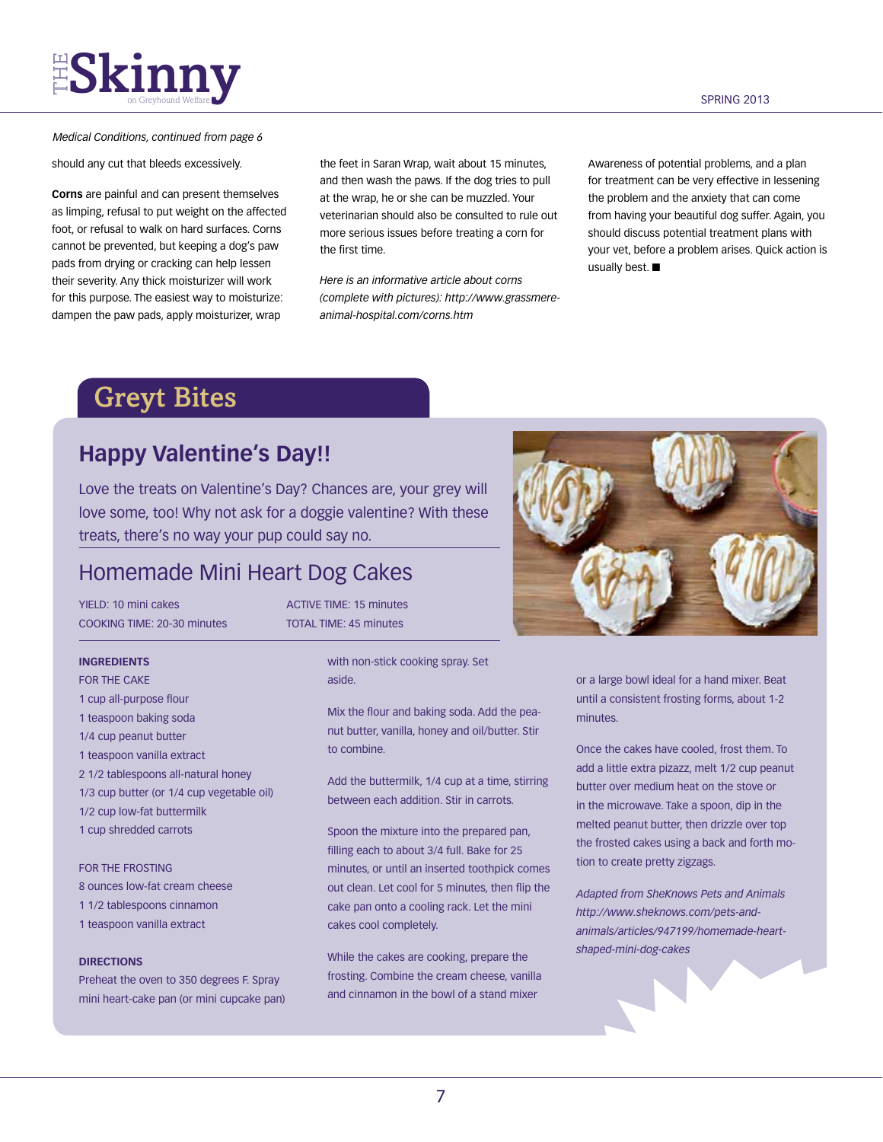# **FSKinny** serveyhound Welfare **y**

### *Medical Conditions, continued from page 6*

should any cut that bleeds excessively.

**Corns** are painful and can present themselves as limping, refusal to put weight on the affected foot, or refusal to walk on hard surfaces. Corns cannot be prevented, but keeping a dog's paw pads from drying or cracking can help lessen their severity. Any thick moisturizer will work for this purpose. The easiest way to moisturize: dampen the paw pads, apply moisturizer, wrap

the feet in Saran Wrap, wait about 15 minutes, and then wash the paws. If the dog tries to pull at the wrap, he or she can be muzzled. Your veterinarian should also be consulted to rule out more serious issues before treating a corn for the first time.

*Here is an informative article about corns (complete with pictures): http://www.grassmereanimal-hospital.com/corns.htm*

Awareness of potential problems, and a plan for treatment can be very effective in lessening the problem and the anxiety that can come from having your beautiful dog suffer. Again, you should discuss potential treatment plans with your vet, before a problem arises. Quick action is usually best.  $\blacksquare$ 

## Greyt Bites

### **Happy Valentine's Day!!**

Love the treats on Valentine's Day? Chances are, your grey will love some, too! Why not ask for a doggie valentine? With these treats, there's no way your pup could say no.

### Homemade Mini Heart Dog Cakes

YIELD: 10 mini cakes ACTIVE TIME: 15 minutes cooking time: 20-30 minutes total time: 45 minutes

### **Ingredients**

- FOR THE CAKE
- 1 cup all-purpose flour 1 teaspoon baking soda
- 1/4 cup peanut butter
- 1 teaspoon vanilla extract
- 2 1/2 tablespoons all-natural honey
- 1/3 cup butter (or 1/4 cup vegetable oil)
- 1/2 cup low-fat buttermilk
- 1 cup shredded carrots

### FOR THE FROSTING

- 8 ounces low-fat cream cheese
- 1 1/2 tablespoons cinnamon
- 1 teaspoon vanilla extract

### **Directions**

Preheat the oven to 350 degrees F. Spray mini heart-cake pan (or mini cupcake pan)

with non-stick cooking spray. Set aside.

Mix the flour and baking soda. Add the peanut butter, vanilla, honey and oil/butter. Stir to combine.

Add the buttermilk, 1/4 cup at a time, stirring between each addition. Stir in carrots.

Spoon the mixture into the prepared pan, filling each to about 3/4 full. Bake for 25 minutes, or until an inserted toothpick comes out clean. Let cool for 5 minutes, then flip the cake pan onto a cooling rack. Let the mini cakes cool completely.

While the cakes are cooking, prepare the frosting. Combine the cream cheese, vanilla and cinnamon in the bowl of a stand mixer



or a large bowl ideal for a hand mixer. Beat until a consistent frosting forms, about 1-2 minutes.

Once the cakes have cooled, frost them. To add a little extra pizazz, melt 1/2 cup peanut butter over medium heat on the stove or in the microwave. Take a spoon, dip in the melted peanut butter, then drizzle over top the frosted cakes using a back and forth motion to create pretty zigzags.

*Adapted from SheKnows Pets and Animals http://www.sheknows.com/pets-andanimals/articles/947199/homemade-heartshaped-mini-dog-cakes*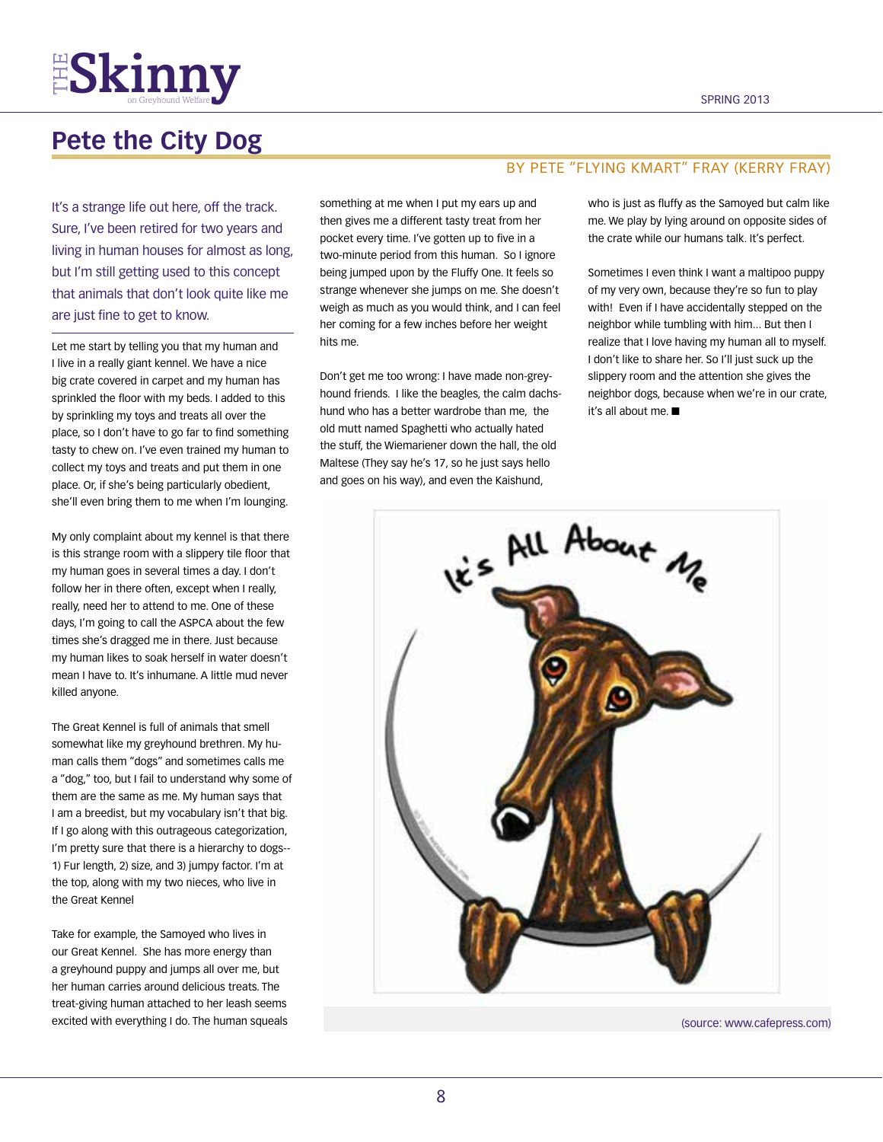

## **Pete the City Dog**

It's a strange life out here, off the track. Sure, I've been retired for two years and living in human houses for almost as long, but I'm still getting used to this concept that animals that don't look quite like me are just fine to get to know.

Let me start by telling you that my human and I live in a really giant kennel. We have a nice big crate covered in carpet and my human has sprinkled the floor with my beds. I added to this by sprinkling my toys and treats all over the place, so I don't have to go far to find something tasty to chew on. I've even trained my human to collect my toys and treats and put them in one place. Or, if she's being particularly obedient, she'll even bring them to me when I'm lounging.

My only complaint about my kennel is that there is this strange room with a slippery tile floor that my human goes in several times a day. I don't follow her in there often, except when I really, really, need her to attend to me. One of these days, I'm going to call the ASPCA about the few times she's dragged me in there. Just because my human likes to soak herself in water doesn't mean I have to. It's inhumane. A little mud never killed anyone.

The Great Kennel is full of animals that smell somewhat like my greyhound brethren. My human calls them "dogs" and sometimes calls me a "dog," too, but I fail to understand why some of them are the same as me. My human says that I am a breedist, but my vocabulary isn't that big. If I go along with this outrageous categorization, I'm pretty sure that there is a hierarchy to dogs-- 1) Fur length, 2) size, and 3) jumpy factor. I'm at the top, along with my two nieces, who live in the Great Kennel

Take for example, the Samoyed who lives in our Great Kennel. She has more energy than a greyhound puppy and jumps all over me, but her human carries around delicious treats. The treat-giving human attached to her leash seems excited with everything I do. The human squeals

something at me when I put my ears up and then gives me a different tasty treat from her pocket every time. I've gotten up to five in a two-minute period from this human. So I ignore being jumped upon by the Fluffy One. It feels so strange whenever she jumps on me. She doesn't weigh as much as you would think, and I can feel her coming for a few inches before her weight hits me.

Don't get me too wrong: I have made non-greyhound friends. I like the beagles, the calm dachshund who has a better wardrobe than me, the old mutt named Spaghetti who actually hated the stuff, the Wiemariener down the hall, the old Maltese (They say he's 17, so he just says hello and goes on his way), and even the Kaishund,

### By pete "flying kmart" fray (Kerry Fray)

who is just as fluffy as the Samoyed but calm like me. We play by lying around on opposite sides of the crate while our humans talk. It's perfect.

Sometimes I even think I want a maltipoo puppy of my very own, because they're so fun to play with! Even if I have accidentally stepped on the neighbor while tumbling with him... But then I realize that I love having my human all to myself. I don't like to share her. So I'll just suck up the slippery room and the attention she gives the neighbor dogs, because when we're in our crate, it's all about me.  $\blacksquare$ 



(source: www.cafepress.com)